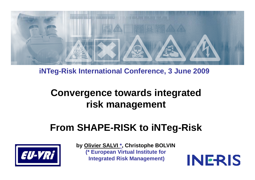

#### **C f iNTeg-Risk International Conference, 3 June 2009**

## **Convergence towards integrated Convergence towards integrated<br>risk management**

## **From SHAPE-RISK to iNTeg-Risk**



**by Olivier SALVI \*, Christophe BOLVIN ( p \* European Virtual Institute for Integrated Risk Management)**

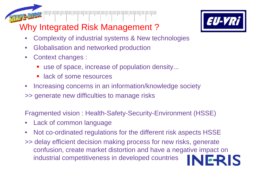

## Why Integrated Risk Management ?

- 
- $\bullet$ Complexity of industrial systems & New technologies
- $\bullet$ Globalisation and networked production
- $\bullet$  Context changes :
	- use of space, increase of population density...
	- **Example 2** lack of some resources
- $\bullet$ Increasing concerns in an information/knowledge society
- >> generate new difficulties to manage risks

Fragmented vision : Health-Safety-Security-Environment (HSSE)

- •Lack of common language
- $\bullet$ • Not co-ordinated regulations for the different risk aspects HSSE
- >> delay efficient decision making process for new risks, generate confusion, create market distortion and have a negative impact on ERIS industrial competitiveness in developed countries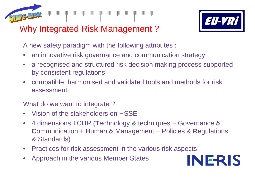

## Why Integrated Risk Management ?



A new safety paradigm with the following attributes :

- •an innovative risk governance and communication strategy
- • a recognised and structured risk decision making process supported by consistent regulations
- $\bullet$  compatible, harmonised and validated tools and methods for risk assessment

What do we want to integrate ?

- •• Vision of the stakeholders on HSSE
- $\bullet$  4 dimensions TCHR ( **T**echnology & techniques + Governance & **Communication + Human & Management + Policies & Regulations** & Standards)
- $\bullet$ Practices for risk assessment in the various risk aspects
- •Approach in the various Member States

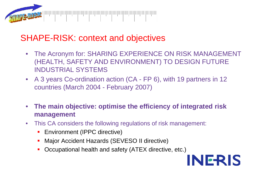

### SHAPE-RISK: context and objectives

- $\bullet$  The Acronym for: SHARING EXPERIENCE ON RISK MANAGEMENT (HEALTH, SAFETY AND ENVIRONMENT) TO DESIGN FUTURE INDUSTRIAL SYSTEMS
- A 3 years Co-ordination action (CA FP 6), with 19 partners in 12 countries (March 2004 - February 2007)
- $\bullet$  **The main objective: optimise the efficiency of integrated risk management**
- $\bullet$  This CA considers the following regulations of risk management:
	- **Environment (IPPC directive)**
	- **Major Accident Hazards (SEVESO II directive)**
	- T, Occupational health and safety (ATEX directive, etc.)

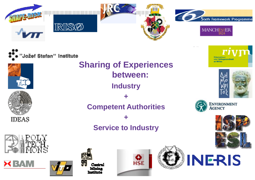



## **Service to Industry**







Centru **Mining Togtifista** 







Riiksinstituut voor Volksgezondheid en Milieu



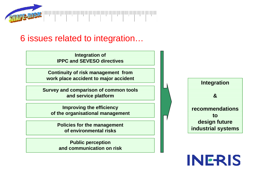

### 6 issues related to integration…

**Integration of IPPC and SEVESO directives**

**Continuity of risk management from work place accident to major accident**

**Survey and comparison of common tools and service platform**

**Improving the efficiency of the organisational management**

**Policies for the management of environmental risks**

**Public perception and communication on risk**



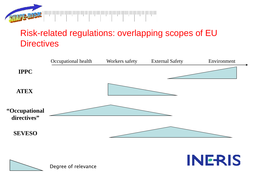

## Risk-related regulations: overlapping scopes of EU **Directives**



**INERIS** 

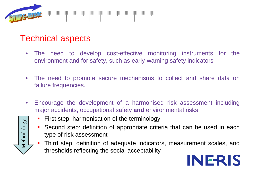

#### Technical aspects

- • The need to develop cost-effective monitoring instruments for the environment and for safety, such as early-warning safety indicators
- $\bullet$  The need to promote secure mechanisms to collect and share data on failure frequencies.
- $\bullet$  Encourage the development of <sup>a</sup> harmonised risk assessment including major accidents, occupational safety **and** environmental risks
- Metho  $\overline{\texttt{c}}$
- **First step: harmonisation of the terminology**
- $\mathcal{L}_{\mathcal{A}}$  Second step: definition of appropriate criteria that can be used in each tvpe of risk  $\begin{array}{c|c}\n\hline\n\circ & - & - & - & - & - \\
\hline\hline\n\circ & \circ & \circ \\
\hline\hline\n\circ & \circ & \circ \\
\hline\n\circ & \circ & \circ\n\end{array}$  Second step: definition
	- T, Third step: definition of adequate indicators, measurement scales, and thresholds reflecting the social acceptability

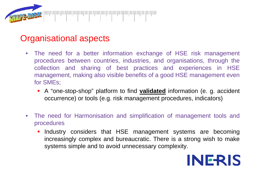

#### Organisational aspects

- • The need for <sup>a</sup> better information exchange of HSE risk management procedures between countries, industries, and organisations, through the collection and sharing of best practices and experiences in HSE management, making also visible benefits of <sup>a</sup> good HSE management even for SMEs;
	- **-** A "one-stop-shop" platform to find **validated** information (e. g. accident occurrence) or tools (e.g. risk management procedures, indicators)
- • The need for Harmonisation and simplification of management tools and procedures
	- **Industry considers that HSE management systems are becoming** increasingly complex and bureaucratic. There is <sup>a</sup> strong wish to make systems simple and to avoid unnecessary complexity.

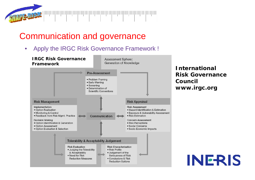

## Communication and governance

Apply the IRGC Risk Governance Framework !  $\bullet$ 



*International Risk Governance Council www.ir g g c.or*

**INERIS**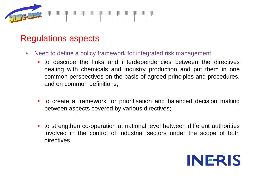

#### Regulations aspects

- • Need to define <sup>a</sup> policy framework for integrated risk management
	- to describe the links and interdependencies between the directives dealing with chemicals and industry production and put them in one common perspectives on the basis of agreed principles and procedures, and on common definitions;
	- to create <sup>a</sup> framework for prioritisation and balanced decision making between aspects covered by various directives;
	- to strengthen co-operation at national level between different authorities involved in the control of industrial sectors under the scope of both directives

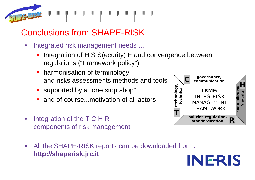

## Conclusions from SHAPE-RISK

- $\bullet$ Integrated risk management needs ....
	- F Integration of H S S(ecurity) E and convergence between regulations ("Framework policy")
	- harmonisation of terminology and risks assessments methods and tools
	- supported by a "one stop shop" d by a "one sto
	- П • and of course...motivation of all actors
- • Integration of the T C H R components of risk management
- All the SHAPE-RISK reports can be downloaded from :  $\bullet$ **http://shaperisk jrc it http://shaperisk.jrc.itINERIS**

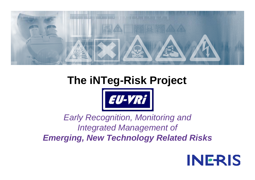

# **The iNTeg-Risk Project**



### *Early Recognition, Monitoring and Integrated Management of Emerging, New Technology Related Risks*

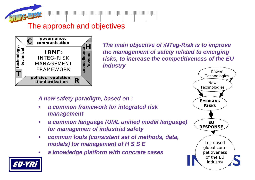

#### The approach and objectives



*The main objective of iNTeg -Risk is to improve Risk the management of safety related to emerging risks, to increase the competitiveness of the EU industry* 

#### *A new safety paradigm, based on :*

- • *a common framework for integrated risk management*
- $\bullet$  *a common language (UML unified model language) for managemen of industrial safety*
- $\bullet$  *common tools (consistent set of methods, data, models) for management of H S S E*
- •*a knowledge platform with concrete cases g p*



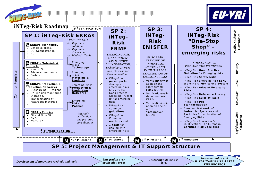

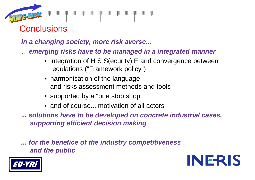

**Conclusions** 

*In a changing society, more risk averse...*

... *emerging risks have to be managed in a integrated manner*

- integration of H S S(ecurity) E and convergence between regulations ("Framework policy")
- harmonisation of the language and risks assessment methods and tools
- supported by a "one stop shop"
- and of course... motivation of all actors

*... solutions have to be developed on concrete industrial cases, supporting efficient decision making*

*... for the benefice of the industry competitiveness and the public*